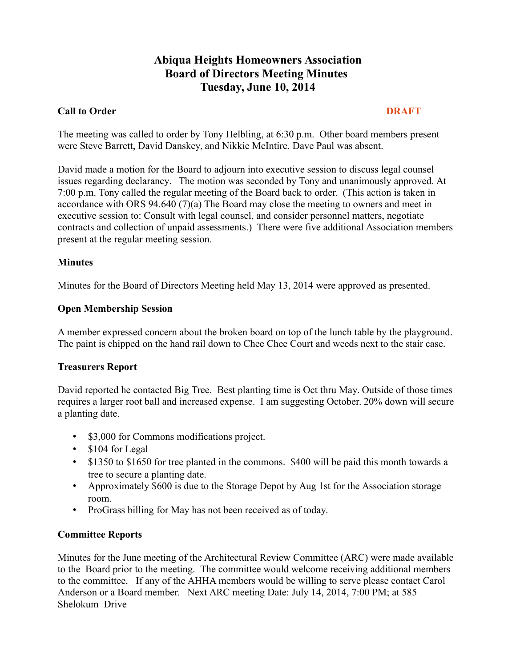# **Abiqua Heights Homeowners Association Board of Directors Meeting Minutes Tuesday, June 10, 2014**

# **Call to Order DRAFT**

The meeting was called to order by Tony Helbling, at 6:30 p.m. Other board members present were Steve Barrett, David Danskey, and Nikkie McIntire. Dave Paul was absent.

David made a motion for the Board to adjourn into executive session to discuss legal counsel issues regarding declarancy. The motion was seconded by Tony and unanimously approved. At 7:00 p.m. Tony called the regular meeting of the Board back to order. (This action is taken in accordance with ORS 94.640 (7)(a) The Board may close the meeting to owners and meet in executive session to: Consult with legal counsel, and consider personnel matters, negotiate contracts and collection of unpaid assessments.) There were five additional Association members present at the regular meeting session.

# **Minutes**

Minutes for the Board of Directors Meeting held May 13, 2014 were approved as presented.

# **Open Membership Session**

A member expressed concern about the broken board on top of the lunch table by the playground. The paint is chipped on the hand rail down to Chee Chee Court and weeds next to the stair case.

#### **Treasurers Report**

David reported he contacted Big Tree. Best planting time is Oct thru May. Outside of those times requires a larger root ball and increased expense. I am suggesting October. 20% down will secure a planting date.

- \$3,000 for Commons modifications project.
- \$104 for Legal
- \$1350 to \$1650 for tree planted in the commons. \$400 will be paid this month towards a tree to secure a planting date.
- Approximately \$600 is due to the Storage Depot by Aug 1st for the Association storage room.
- ProGrass billing for May has not been received as of today.

#### **Committee Reports**

Minutes for the June meeting of the Architectural Review Committee (ARC) were made available to the Board prior to the meeting. The committee would welcome receiving additional members to the committee. If any of the AHHA members would be willing to serve please contact Carol Anderson or a Board member. Next ARC meeting Date: July 14, 2014, 7:00 PM; at 585 Shelokum Drive